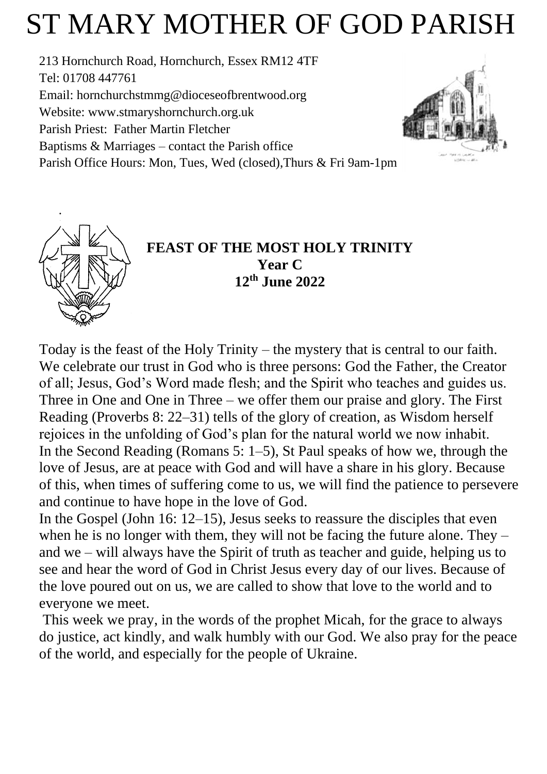# ST MARY MOTHER OF GOD PARISH

213 Hornchurch Road, Hornchurch, Essex RM12 4TF Tel: 01708 447761 Email: [hornchurchstmmg@dioceseofbrentwood.org](mailto:hornchurchstmmg@dioceseofbrentwood.org) Website: [www.stmaryshornchurch.org.uk](http://www.stmaryshornchurch.org.uk/) Parish Priest: Father Martin Fletcher Baptisms & Marriages – contact the Parish office Parish Office Hours: Mon, Tues, Wed (closed),Thurs & Fri 9am-1pm





# **FEAST OF THE MOST HOLY TRINITY Year C 12th June 2022**

Today is the feast of the Holy Trinity – the mystery that is central to our faith. We celebrate our trust in God who is three persons: God the Father, the Creator of all; Jesus, God's Word made flesh; and the Spirit who teaches and guides us. Three in One and One in Three – we offer them our praise and glory. The First Reading (Proverbs 8: 22–31) tells of the glory of creation, as Wisdom herself rejoices in the unfolding of God's plan for the natural world we now inhabit. In the Second Reading (Romans 5: 1–5), St Paul speaks of how we, through the love of Jesus, are at peace with God and will have a share in his glory. Because of this, when times of suffering come to us, we will find the patience to persevere and continue to have hope in the love of God.

In the Gospel (John 16: 12–15), Jesus seeks to reassure the disciples that even when he is no longer with them, they will not be facing the future alone. They – and we – will always have the Spirit of truth as teacher and guide, helping us to see and hear the word of God in Christ Jesus every day of our lives. Because of the love poured out on us, we are called to show that love to the world and to everyone we meet.

This week we pray, in the words of the prophet Micah, for the grace to always do justice, act kindly, and walk humbly with our God. We also pray for the peace of the world, and especially for the people of Ukraine.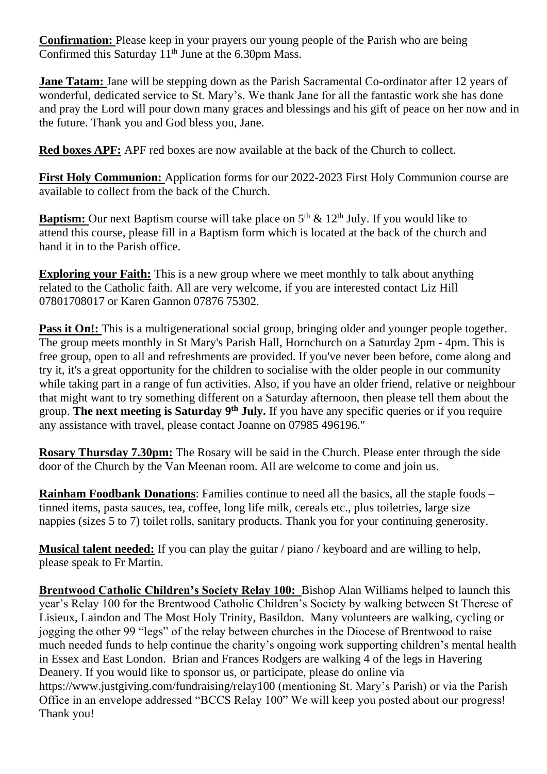**Confirmation:** Please keep in your prayers our young people of the Parish who are being Confirmed this Saturday  $11<sup>th</sup>$  June at the 6.30pm Mass.

**Jane Tatam:** Jane will be stepping down as the Parish Sacramental Co-ordinator after 12 years of wonderful, dedicated service to St. Mary's. We thank Jane for all the fantastic work she has done and pray the Lord will pour down many graces and blessings and his gift of peace on her now and in the future. Thank you and God bless you, Jane.

**Red boxes APF:** APF red boxes are now available at the back of the Church to collect.

**First Holy Communion:** Application forms for our 2022-2023 First Holy Communion course are available to collect from the back of the Church.

**Baptism:** Our next Baptism course will take place on 5<sup>th</sup> & 12<sup>th</sup> July. If you would like to attend this course, please fill in a Baptism form which is located at the back of the church and hand it in to the Parish office.

**Exploring your Faith:** This is a new group where we meet monthly to talk about anything related to the Catholic faith. All are very welcome, if you are interested contact Liz Hill 07801708017 or Karen Gannon 07876 75302.

**Pass it On!:** This is a multigenerational social group, bringing older and younger people together. The group meets monthly in St Mary's Parish Hall, Hornchurch on a Saturday 2pm - 4pm. This is free group, open to all and refreshments are provided. If you've never been before, come along and try it, it's a great opportunity for the children to socialise with the older people in our community while taking part in a range of fun activities. Also, if you have an older friend, relative or neighbour that might want to try something different on a Saturday afternoon, then please tell them about the group. The next meeting is Saturday 9<sup>th</sup> July. If you have any specific queries or if you require any assistance with travel, please contact Joanne on 07985 496196."

**Rosary Thursday 7.30pm:** The Rosary will be said in the Church. Please enter through the side door of the Church by the Van Meenan room. All are welcome to come and join us.

**Rainham Foodbank Donations:** Families continue to need all the basics, all the staple foods – tinned items, pasta sauces, tea, coffee, long life milk, cereals etc., plus toiletries, large size nappies (sizes 5 to 7) toilet rolls, sanitary products. Thank you for your continuing generosity.

**Musical talent needed:** If you can play the guitar / piano / keyboard and are willing to help, please speak to Fr Martin.

**Brentwood Catholic Children's Society Relay 100:** Bishop Alan Williams helped to launch this year's Relay 100 for the Brentwood Catholic Children's Society by walking between St Therese of Lisieux, Laindon and The Most Holy Trinity, Basildon. Many volunteers are walking, cycling or jogging the other 99 "legs" of the relay between churches in the Diocese of Brentwood to raise much needed funds to help continue the charity's ongoing work supporting children's mental health in Essex and East London. Brian and Frances Rodgers are walking 4 of the legs in Havering Deanery. If you would like to sponsor us, or participate, please do online via <https://www.justgiving.com/fundraising/relay100> (mentioning St. Mary's Parish) or via the Parish Office in an envelope addressed "BCCS Relay 100" We will keep you posted about our progress! Thank you!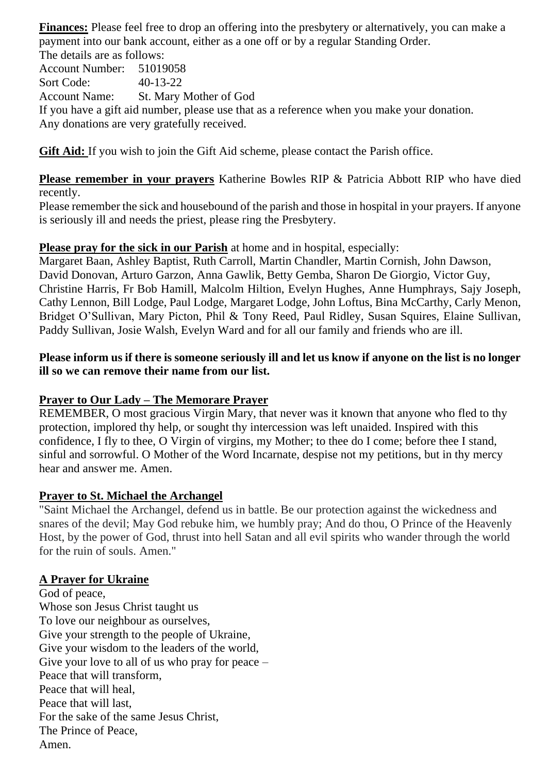**Finances:** Please feel free to drop an offering into the presbytery or alternatively, you can make a payment into our bank account, either as a one off or by a regular Standing Order. The details are as follows:

Account Number: 51019058 Sort Code: 40-13-22 Account Name: St. Mary Mother of God If you have a gift aid number, please use that as a reference when you make your donation. Any donations are very gratefully received.

**Gift Aid:** If you wish to join the Gift Aid scheme, please contact the Parish office.

**Please remember in your prayers** Katherine Bowles RIP & Patricia Abbott RIP who have died recently.

Please remember the sick and housebound of the parish and those in hospital in your prayers. If anyone is seriously ill and needs the priest, please ring the Presbytery.

### **Please pray for the sick in our Parish** at home and in hospital, especially:

Margaret Baan, Ashley Baptist, Ruth Carroll, Martin Chandler, Martin Cornish, John Dawson, David Donovan, Arturo Garzon, Anna Gawlik, Betty Gemba, Sharon De Giorgio, Victor Guy, Christine Harris, Fr Bob Hamill, Malcolm Hiltion, Evelyn Hughes, Anne Humphrays, Sajy Joseph, Cathy Lennon, Bill Lodge, Paul Lodge, Margaret Lodge, John Loftus, Bina McCarthy, Carly Menon, Bridget O'Sullivan, Mary Picton, Phil & Tony Reed, Paul Ridley, Susan Squires, Elaine Sullivan, Paddy Sullivan, Josie Walsh, Evelyn Ward and for all our family and friends who are ill.

#### **Please inform us if there is someone seriously ill and let us know if anyone on the list is no longer ill so we can remove their name from our list.**

## **Prayer to Our Lady – The Memorare Prayer**

REMEMBER, O most gracious Virgin Mary, that never was it known that anyone who fled to thy protection, implored thy help, or sought thy intercession was left unaided. Inspired with this confidence, I fly to thee, O Virgin of virgins, my Mother; to thee do I come; before thee I stand, sinful and sorrowful. O Mother of the Word Incarnate, despise not my petitions, but in thy mercy hear and answer me. Amen.

#### **Prayer to St. Michael the Archangel**

"Saint Michael the Archangel, defend us in battle. Be our protection against the wickedness and snares of the devil; May God rebuke him, we humbly pray; And do thou, O Prince of the Heavenly Host, by the power of God, thrust into hell Satan and all evil spirits who wander through the world for the ruin of souls. Amen."

## **A Prayer for Ukraine**

God of peace, Whose son Jesus Christ taught us To love our neighbour as ourselves, Give your strength to the people of Ukraine, Give your wisdom to the leaders of the world, Give your love to all of us who pray for peace – Peace that will transform, Peace that will heal, Peace that will last, For the sake of the same Jesus Christ, The Prince of Peace, Amen.